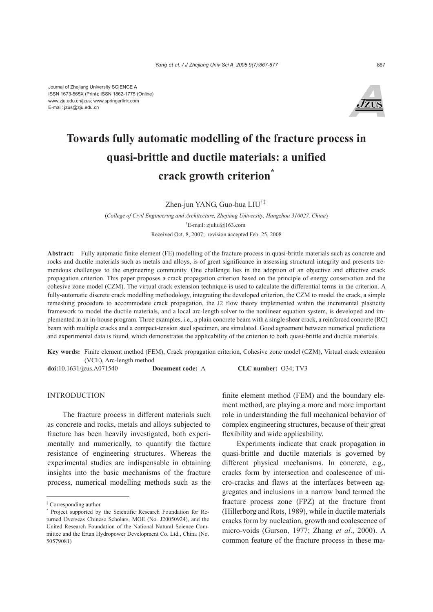

# **Towards fully automatic modelling of the fracture process in quasi-brittle and ductile materials: a unified crack growth criterion\***

Zhen-jun YANG, Guo-hua LIU†‡

(*College of Civil Engineering and Architecture, Zhejiang University, Hangzhou 310027, China*) † E-mail: zjuliu@163.com Received Oct. 8, 2007; revision accepted Feb. 25, 2008

**Abstract:** Fully automatic finite element (FE) modelling of the fracture process in quasi-brittle materials such as concrete and rocks and ductile materials such as metals and alloys, is of great significance in assessing structural integrity and presents tremendous challenges to the engineering community. One challenge lies in the adoption of an objective and effective crack propagation criterion. This paper proposes a crack propagation criterion based on the principle of energy conservation and the cohesive zone model (CZM). The virtual crack extension technique is used to calculate the differential terms in the criterion. A fully-automatic discrete crack modelling methodology, integrating the developed criterion, the CZM to model the crack, a simple remeshing procedure to accommodate crack propagation, the J2 flow theory implemented within the incremental plasticity framework to model the ductile materials, and a local arc-length solver to the nonlinear equation system, is developed and implemented in an in-house program. Three examples, i.e., a plain concrete beam with a single shear crack, a reinforced concrete (RC) beam with multiple cracks and a compact-tension steel specimen, are simulated. Good agreement between numerical predictions and experimental data is found, which demonstrates the applicability of the criterion to both quasi-brittle and ductile materials.

**Key words:** Finite element method (FEM), Crack propagation criterion, Cohesive zone model (CZM), Virtual crack extension (VCE), Arc-length method

**doi:**10.1631/jzus.A071540 **Document code:** A **CLC number:** O34; TV3

## INTRODUCTION

The fracture process in different materials such as concrete and rocks, metals and alloys subjected to fracture has been heavily investigated, both experimentally and numerically, to quantify the facture resistance of engineering structures. Whereas the experimental studies are indispensable in obtaining insights into the basic mechanisms of the fracture process, numerical modelling methods such as the finite element method (FEM) and the boundary element method, are playing a more and more important role in understanding the full mechanical behavior of complex engineering structures, because of their great flexibility and wide applicability.

Experiments indicate that crack propagation in quasi-brittle and ductile materials is governed by different physical mechanisms. In concrete, e.g., cracks form by intersection and coalescence of micro-cracks and flaws at the interfaces between aggregates and inclusions in a narrow band termed the fracture process zone (FPZ) at the fracture front (Hillerborg and Rots, 1989), while in ductile materials cracks form by nucleation, growth and coalescence of micro-voids (Gurson, 1977; Zhang *et al*., 2000). A common feature of the fracture process in these ma-

<sup>‡</sup> Corresponding author

<sup>\*</sup> Project supported by the Scientific Research Foundation for Returned Overseas Chinese Scholars, MOE (No. J20050924), and the United Research Foundation of the National Natural Science Committee and the Ertan Hydropower Development Co. Ltd., China (No. 50579081)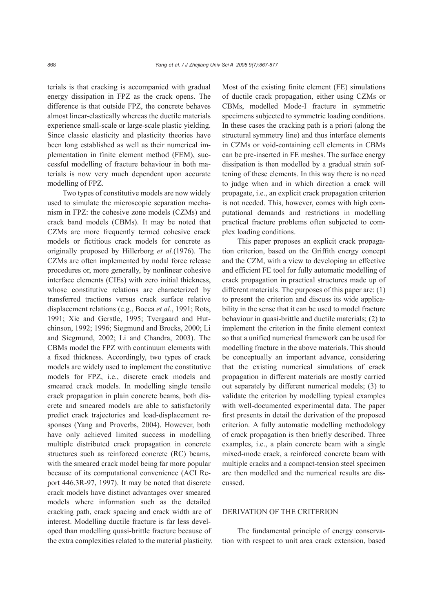terials is that cracking is accompanied with gradual energy dissipation in FPZ as the crack opens. The difference is that outside FPZ, the concrete behaves almost linear-elastically whereas the ductile materials experience small-scale or large-scale plastic yielding. Since classic elasticity and plasticity theories have been long established as well as their numerical implementation in finite element method (FEM), successful modelling of fracture behaviour in both materials is now very much dependent upon accurate modelling of FPZ.

Two types of constitutive models are now widely used to simulate the microscopic separation mechanism in FPZ: the cohesive zone models (CZMs) and crack band models (CBMs). It may be noted that CZMs are more frequently termed cohesive crack models or fictitious crack models for concrete as originally proposed by Hillerborg *et al.*(1976). The CZMs are often implemented by nodal force release procedures or, more generally, by nonlinear cohesive interface elements (CIEs) with zero initial thickness, whose constitutive relations are characterized by transferred tractions versus crack surface relative displacement relations (e.g., Bocca *et al.*, 1991; Rots, 1991; Xie and Gerstle, 1995; Tvergaard and Hutchinson, 1992; 1996; Siegmund and Brocks, 2000; Li and Siegmund, 2002; Li and Chandra, 2003). The CBMs model the FPZ with continuum elements with a fixed thickness. Accordingly, two types of crack models are widely used to implement the constitutive models for FPZ, i.e., discrete crack models and smeared crack models. In modelling single tensile crack propagation in plain concrete beams, both discrete and smeared models are able to satisfactorily predict crack trajectories and load-displacement responses (Yang and Proverbs, 2004). However, both have only achieved limited success in modelling multiple distributed crack propagation in concrete structures such as reinforced concrete (RC) beams, with the smeared crack model being far more popular because of its computational convenience (ACI Report 446.3R-97, 1997). It may be noted that discrete crack models have distinct advantages over smeared models where information such as the detailed cracking path, crack spacing and crack width are of interest. Modelling ductile fracture is far less developed than modelling quasi-brittle fracture because of the extra complexities related to the material plasticity. Most of the existing finite element (FE) simulations of ductile crack propagation, either using CZMs or CBMs, modelled Mode-I fracture in symmetric specimens subjected to symmetric loading conditions. In these cases the cracking path is a priori (along the structural symmetry line) and thus interface elements in CZMs or void-containing cell elements in CBMs can be pre-inserted in FE meshes. The surface energy dissipation is then modelled by a gradual strain softening of these elements. In this way there is no need to judge when and in which direction a crack will propagate, i.e., an explicit crack propagation criterion is not needed. This, however, comes with high computational demands and restrictions in modelling practical fracture problems often subjected to complex loading conditions.

This paper proposes an explicit crack propagation criterion, based on the Griffith energy concept and the CZM, with a view to developing an effective and efficient FE tool for fully automatic modelling of crack propagation in practical structures made up of different materials. The purposes of this paper are: (1) to present the criterion and discuss its wide applicability in the sense that it can be used to model fracture behaviour in quasi-brittle and ductile materials; (2) to implement the criterion in the finite element context so that a unified numerical framework can be used for modelling fracture in the above materials. This should be conceptually an important advance, considering that the existing numerical simulations of crack propagation in different materials are mostly carried out separately by different numerical models; (3) to validate the criterion by modelling typical examples with well-documented experimental data. The paper first presents in detail the derivation of the proposed criterion. A fully automatic modelling methodology of crack propagation is then briefly described. Three examples, i.e., a plain concrete beam with a single mixed-mode crack, a reinforced concrete beam with multiple cracks and a compact-tension steel specimen are then modelled and the numerical results are discussed.

### DERIVATION OF THE CRITERION

The fundamental principle of energy conservation with respect to unit area crack extension, based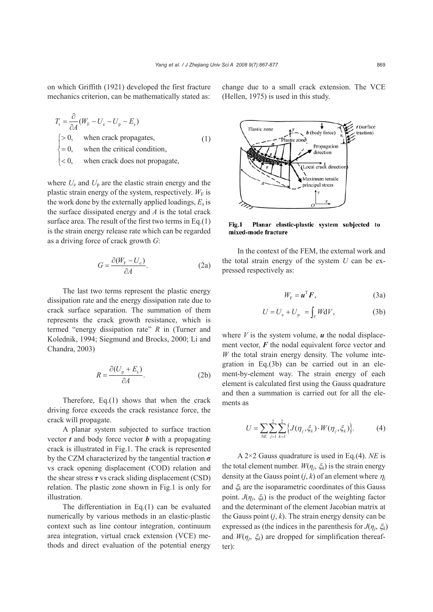on which Griffith (1921) developed the first fracture mechanics criterion, can be mathematically stated as:

$$
T_{\rm r} = \frac{\partial}{\partial A} (W_{\rm F} - U_{\rm e} - U_{\rm p} - E_{\rm s})
$$
  
\n
$$
\begin{cases}\n> 0, & \text{when crack propagates,} \\
= 0, & \text{when the critical condition,} \\
< 0, & \text{when crack does not propagate,} \\
\end{cases}
$$
 (1)

where  $U_e$  and  $U_p$  are the elastic strain energy and the plastic strain energy of the system, respectively.  $W_F$  is the work done by the externally applied loadings, *E*s is the surface dissipated energy and *A* is the total crack surface area. The result of the first two terms in Eq.(1) is the strain energy release rate which can be regarded as a driving force of crack growth *G*:

$$
G = \frac{\partial (W_{\rm F} - U_{\rm e})}{\partial A}.
$$
 (2a)

The last two terms represent the plastic energy dissipation rate and the energy dissipation rate due to crack surface separation. The summation of them represents the crack growth resistance, which is termed "energy dissipation rate" *R* in (Turner and Kolednik, 1994; Siegmund and Brocks, 2000; Li and Chandra, 2003)

$$
R = \frac{\partial (U_{\text{p}} + E_{\text{s}})}{\partial A}.
$$
 (2b)

Therefore, Eq.(1) shows that when the crack driving force exceeds the crack resistance force, the crack will propagate.

A planar system subjected to surface traction vector *t* and body force vector *b* with a propagating crack is illustrated in Fig.1. The crack is represented by the CZM characterized by the tangential traction *σ* vs crack opening displacement (COD) relation and the shear stress  $\tau$  vs crack sliding displacement (CSD) relation. The plastic zone shown in Fig.1 is only for illustration.

The differentiation in Eq.(1) can be evaluated numerically by various methods in an elastic-plastic context such as line contour integration, continuum area integration, virtual crack extension (VCE) methods and direct evaluation of the potential energy

change due to a small crack extension. The VCE (Hellen, 1975) is used in this study.



Fig.1 Planar elastic-plastic system subjected to mixed-mode fracture

In the context of the FEM, the external work and the total strain energy of the system *U* can be expressed respectively as:

$$
W_{\rm F} = \boldsymbol{u}^{\rm T} \boldsymbol{F},\tag{3a}
$$

$$
U = U_{\rm e} + U_{\rm p} = \int_{V} W dV, \tag{3b}
$$

where  $V$  is the system volume,  $\boldsymbol{u}$  the nodal displacement vector, F the nodal equivalent force vector and *W* the total strain energy density. The volume integration in Eq.(3b) can be carried out in an element-by-element way. The strain energy of each element is calculated first using the Gauss quadrature and then a summation is carried out for all the elements as

$$
U = \sum_{NE} \sum_{j=1}^{2} \sum_{k=1}^{2} \{ J(\eta_j, \xi_k) \cdot W(\eta_j, \xi_k) \}.
$$
 (4)

A 2×2 Gauss quadrature is used in Eq.(4). *NE* is the total element number.  $W(\eta_i, \xi_k)$  is the strain energy density at the Gauss point  $(i, k)$  of an element where  $\eta_i$ and  $\xi_k$  are the isoparametric coordinates of this Gauss point.  $J(\eta_j, \xi_k)$  is the product of the weighting factor and the determinant of the element Jacobian matrix at the Gauss point  $(j, k)$ . The strain energy density can be expressed as (the indices in the parenthesis for  $J(\eta_i, \xi_k)$ ) and  $W(\eta_i, \xi_k)$  are dropped for simplification thereafter):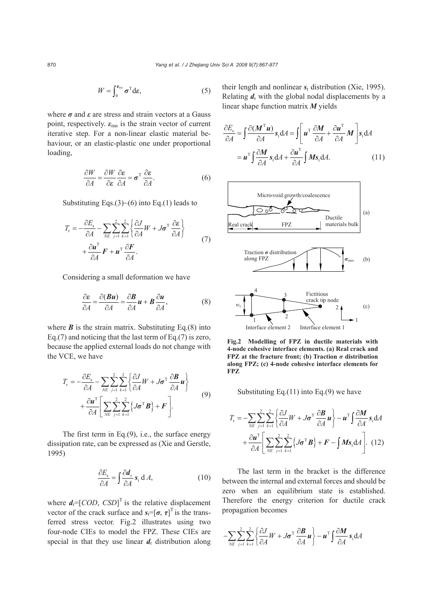$$
W = \int_0^{\mathcal{E}_{mn}} \sigma^{\mathrm{T}} \mathrm{d}\mathcal{E}, \tag{5}
$$

where  $\sigma$  and  $\varepsilon$  are stress and strain vectors at a Gauss point, respectively.  $\varepsilon_{mn}$  is the strain vector of current iterative step. For a non-linear elastic material behaviour, or an elastic-plastic one under proportional loading,

$$
\frac{\partial W}{\partial A} = \frac{\partial W}{\partial \varepsilon} \frac{\partial \varepsilon}{\partial A} = \sigma^{\mathrm{T}} \frac{\partial \varepsilon}{\partial A}.
$$
 (6)

Substituting Eqs.(3) $\sim$ (6) into Eq.(1) leads to

$$
T_{\rm r} = -\frac{\partial E_{\rm s}}{\partial A} - \sum_{NE} \sum_{j=1}^{2} \sum_{k=1}^{2} \left\{ \frac{\partial J}{\partial A} W + J \sigma^{\rm T} \frac{\partial \varepsilon}{\partial A} \right\} + \frac{\partial u^{\rm T}}{\partial A} F + u^{\rm T} \frac{\partial F}{\partial A}.
$$
 (7)

Considering a small deformation we have

$$
\frac{\partial \varepsilon}{\partial A} = \frac{\partial (Bu)}{\partial A} = \frac{\partial B}{\partial A} u + B \frac{\partial u}{\partial A},
$$
 (8)

where  $\boldsymbol{B}$  is the strain matrix. Substituting Eq.(8) into Eq.(7) and noticing that the last term of Eq.(7) is zero, because the applied external loads do not change with the VCE, we have

$$
T_{\rm r} = -\frac{\partial E_{\rm s}}{\partial A} - \sum_{NE} \sum_{j=1}^{2} \sum_{k=1}^{2} \left\{ \frac{\partial J}{\partial A} W + J \sigma^{\rm T} \frac{\partial B}{\partial A} u \right\} + \frac{\partial u^{\rm T}}{\partial A} \left[ \sum_{NE} \sum_{j=1}^{2} \sum_{k=1}^{2} \left\{ J \sigma^{\rm T} B \right\} + F \right].
$$
 (9)

The first term in Eq.(9), i.e., the surface energy dissipation rate, can be expressed as (Xie and Gerstle, 1995)

$$
\frac{\partial E_s}{\partial A} = \int \frac{\partial \boldsymbol{d}_r}{\partial A} \, \boldsymbol{s}_t \, \mathrm{d} \, A,\tag{10}
$$

where  $d_f = [ COD, CSD]^T$  is the relative displacement vector of the crack surface and  $s_t = [\sigma, \tau]^T$  is the transferred stress vector. Fig.2 illustrates using two four-node CIEs to model the FPZ. These CIEs are special in that they use linear  $d_r$  distribution along

their length and nonlinear  $s_t$  distribution (Xie, 1995). Relating  $d_r$  with the global nodal displacements by a linear shape function matrix *M* yields

$$
\frac{\partial E_s}{\partial A} = \int \frac{\partial (M^{\mathrm{T}} u)}{\partial A} s_t \mathrm{d}A = \int \left[ u^{\mathrm{T}} \frac{\partial M}{\partial A} + \frac{\partial u^{\mathrm{T}}}{\partial A} M \right] s_t \mathrm{d}A
$$

$$
= u^{\mathrm{T}} \int \frac{\partial M}{\partial A} s_t \mathrm{d}A + \frac{\partial u^{\mathrm{T}}}{\partial A} \int M s_t \mathrm{d}A. \tag{11}
$$



**Fig.2 Modelling of FPZ in ductile materials with 4-node cohesive interface elements. (a) Real crack and FPZ at the fracture front; (b) Traction** *σ* **distribution along FPZ; (c) 4-node cohesive interface elements for FPZ**

Substituting Eq. $(11)$  into Eq. $(9)$  we have

$$
T_{\rm r} = -\sum_{NE} \sum_{j=1}^{2} \sum_{k=1}^{2} \left\{ \frac{\partial J}{\partial A} W + J \sigma^{\rm T} \frac{\partial B}{\partial A} u \right\} - u^{\rm T} \int \frac{\partial M}{\partial A} s_{\rm t} \, dA
$$

$$
+ \frac{\partial u^{\rm T}}{\partial A} \left[ \sum_{NE} \sum_{j=1}^{2} \sum_{k=1}^{2} \left\{ J \sigma^{\rm T} B \right\} + F - \int M s_{\rm t} \, dA \right]. \tag{12}
$$

The last term in the bracket is the difference between the internal and external forces and should be zero when an equilibrium state is established. Therefore the energy criterion for ductile crack propagation becomes

$$
-\sum_{NE}\sum_{j=1}^{2}\sum_{k=1}^{2}\left\{\frac{\partial J}{\partial A}W+J\boldsymbol{\sigma}^{T}\frac{\partial \boldsymbol{B}}{\partial A}\boldsymbol{u}\right\}-\boldsymbol{u}^{T}\int\frac{\partial M}{\partial A}\boldsymbol{s}_{t}dA
$$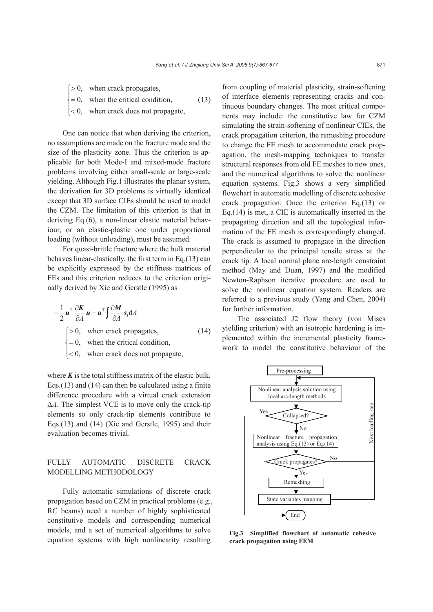$3)$ 

 $\geq 0$ , when crack propagates,

$$
\left\{\n= 0, \text{ when the critical condition, } (1
$$

 $\leq 0$ , when crack does not propagate,

One can notice that when deriving the criterion, no assumptions are made on the fracture mode and the size of the plasticity zone. Thus the criterion is applicable for both Mode-I and mixed-mode fracture problems involving either small-scale or large-scale yielding. Although Fig.1 illustrates the planar system, the derivation for 3D problems is virtually identical except that 3D surface CIEs should be used to model the CZM. The limitation of this criterion is that in deriving Eq.(6), a non-linear elastic material behaviour, or an elastic-plastic one under proportional loading (without unloading), must be assumed.

For quasi-brittle fracture where the bulk material behaves linear-elastically, the first term in Eq.(13) can be explicitly expressed by the stiffness matrices of FEs and this criterion reduces to the criterion originally derived by Xie and Gerstle (1995) as

$$
-\frac{1}{2}u^{\mathrm{T}}\frac{\partial K}{\partial A}u - u^{\mathrm{T}}\int \frac{\partial M}{\partial A}s_{\mathrm{t}}\mathrm{d}A
$$
  
\n
$$
\begin{cases}\n>0, & \text{when crack propagates,} \\
=0, & \text{when the critical condition,} \\
<0, & \text{when crack does not propagate,} \n\end{cases}
$$
\n(14)

where  $\vec{K}$  is the total stiffness matrix of the elastic bulk. Eqs.(13) and (14) can then be calculated using a finite difference procedure with a virtual crack extension Δ*A*. The simplest VCE is to move only the crack-tip elements so only crack-tip elements contribute to Eqs.(13) and (14) (Xie and Gerstle, 1995) and their evaluation becomes trivial.

# FULLY AUTOMATIC DISCRETE CRACK MODELLING METHODOLOGY

Fully automatic simulations of discrete crack propagation based on CZM in practical problems (e.g., RC beams) need a number of highly sophisticated constitutive models and corresponding numerical models, and a set of numerical algorithms to solve equation systems with high nonlinearity resulting

from coupling of material plasticity, strain-softening of interface elements representing cracks and continuous boundary changes. The most critical components may include: the constitutive law for CZM simulating the strain-softening of nonlinear CIEs, the crack propagation criterion, the remeshing procedure to change the FE mesh to accommodate crack propagation, the mesh-mapping techniques to transfer structural responses from old FE meshes to new ones, and the numerical algorithms to solve the nonlinear equation systems. Fig.3 shows a very simplified flowchart in automatic modelling of discrete cohesive crack propagation. Once the criterion Eq.(13) or Eq.(14) is met, a CIE is automatically inserted in the propagating direction and all the topological information of the FE mesh is correspondingly changed. The crack is assumed to propagate in the direction perpendicular to the principal tensile stress at the crack tip. A local normal plane arc-length constraint method (May and Duan, 1997) and the modified Newton-Raphson iterative procedure are used to solve the nonlinear equation system. Readers are referred to a previous study (Yang and Chen, 2004) for further information.

The associated J2 flow theory (von Mises yielding criterion) with an isotropic hardening is implemented within the incremental plasticity framework to model the constitutive behaviour of the



**Fig.3 Simplified flowchart of automatic cohesive crack propagation using FEM**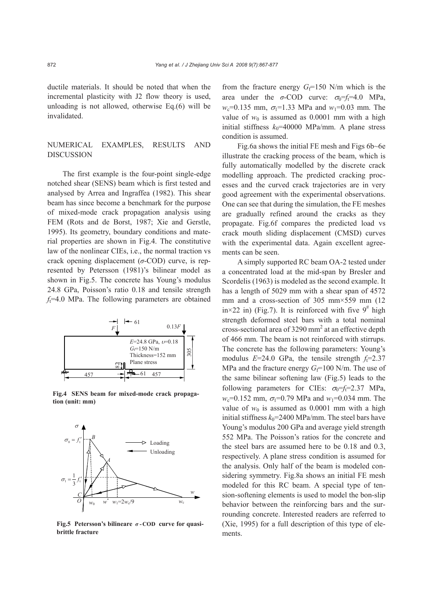ductile materials. It should be noted that when the incremental plasticity with J2 flow theory is used, unloading is not allowed, otherwise Eq.(6) will be invalidated.

# NUMERICAL EXAMPLES, RESULTS AND DISCUSSION

The first example is the four-point single-edge notched shear (SENS) beam which is first tested and analysed by Arrea and Ingraffea (1982). This shear beam has since become a benchmark for the purpose of mixed-mode crack propagation analysis using FEM (Rots and de Borst, 1987; Xie and Gerstle, 1995). Its geometry, boundary conditions and material properties are shown in Fig.4. The constitutive law of the nonlinear CIEs, i.e., the normal traction vs crack opening displacement (*σ*-COD) curve, is represented by Petersson (1981)'s bilinear model as shown in Fig.5. The concrete has Young's modulus 24.8 GPa, Poisson's ratio 0.18 and tensile strength  $f_f$ =4.0 MPa. The following parameters are obtained



**Fig.4 SENS beam for mixed-mode crack propagation (unit: mm)** 



**Fig.5 Petersson's bilineare** *σ* **- COD curve for quasibrittle fracture**

from the fracture energy  $G_f$ =150 N/m which is the area under the  $\sigma$ -COD curve:  $\sigma_0 = f_t = 4.0$  MPa,  $w_c$ =0.135 mm,  $\sigma_1$ =1.33 MPa and  $w_1$ =0.03 mm. The value of  $w_0$  is assumed as 0.0001 mm with a high initial stiffness  $k_0$ =40000 MPa/mm. A plane stress condition is assumed.

Fig.6a shows the initial FE mesh and Figs 6b~6e illustrate the cracking process of the beam, which is fully automatically modelled by the discrete crack modelling approach. The predicted cracking processes and the curved crack trajectories are in very good agreement with the experimental observations. One can see that during the simulation, the FE meshes are gradually refined around the cracks as they propagate. Fig.6f compares the predicted load vs crack mouth sliding displacement (CMSD) curves with the experimental data. Again excellent agreements can be seen.

A simply supported RC beam OA-2 tested under a concentrated load at the mid-span by Bresler and Scordelis (1963) is modeled as the second example. It has a length of 5029 mm with a shear span of 4572 mm and a cross-section of 305 mm×559 mm (12 in × 22 in) (Fig.7). It is reinforced with five  $9^{\#}$  high strength deformed steel bars with a total nominal cross-sectional area of  $3290 \text{ mm}^2$  at an effective depth of 466 mm. The beam is not reinforced with stirrups. The concrete has the following parameters: Young's modulus  $E=24.0$  GPa, the tensile strength  $f<sub>i</sub>=2.37$ MPa and the fracture energy  $G_f$ =100 N/m. The use of the same bilinear softening law (Fig.5) leads to the following parameters for CIEs:  $\sigma_0 = f_f = 2.37 \text{ MPa}$ ,  $w_c$ =0.152 mm,  $\sigma_1$ =0.79 MPa and  $w_1$ =0.034 mm. The value of  $w_0$  is assumed as 0.0001 mm with a high initial stiffness  $k_0$ =2400 MPa/mm. The steel bars have Young's modulus 200 GPa and average yield strength 552 MPa. The Poisson's ratios for the concrete and the steel bars are assumed here to be 0.18 and 0.3, respectively. A plane stress condition is assumed for the analysis. Only half of the beam is modeled considering symmetry. Fig.8a shows an initial FE mesh modeled for this RC beam. A special type of tension-softening elements is used to model the bon-slip behavior between the reinforcing bars and the surrounding concrete. Interested readers are referred to (Xie, 1995) for a full description of this type of elements.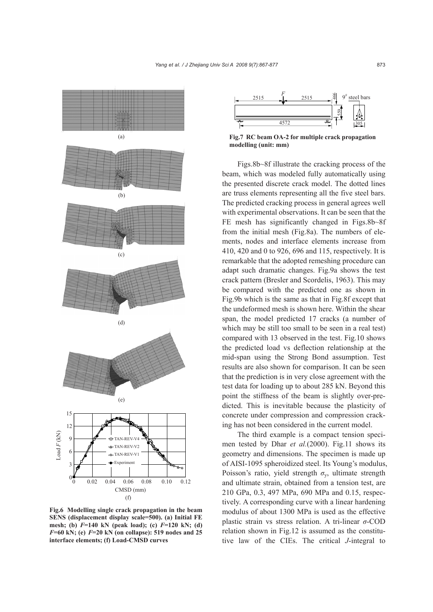

**Fig.6 Modelling single crack propagation in the beam SENS (displacement display scale=500). (a) Initial FE mesh; (b)** *F***=140 kN (peak load); (c)** *F***=120 kN; (d)** *F***=60 kN; (e)** *F***=20 kN (on collapse): 519 nodes and 25 interface elements; (f) Load-CMSD curves**



**Fig.7 RC beam OA-2 for multiple crack propagation modelling (unit: mm)**

Figs.8b~8f illustrate the cracking process of the beam, which was modeled fully automatically using the presented discrete crack model. The dotted lines are truss elements representing all the five steel bars. The predicted cracking process in general agrees well with experimental observations. It can be seen that the FE mesh has significantly changed in Figs.8b~8f from the initial mesh (Fig.8a). The numbers of elements, nodes and interface elements increase from 410, 420 and 0 to 926, 696 and 115, respectively. It is remarkable that the adopted remeshing procedure can adapt such dramatic changes. Fig.9a shows the test crack pattern (Bresler and Scordelis, 1963). This may be compared with the predicted one as shown in Fig.9b which is the same as that in Fig.8f except that the undeformed mesh is shown here. Within the shear span, the model predicted 17 cracks (a number of which may be still too small to be seen in a real test) compared with 13 observed in the test. Fig.10 shows the predicted load vs deflection relationship at the mid-span using the Strong Bond assumption. Test results are also shown for comparison. It can be seen that the prediction is in very close agreement with the test data for loading up to about 285 kN. Beyond this point the stiffness of the beam is slightly over-predicted. This is inevitable because the plasticity of concrete under compression and compression cracking has not been considered in the current model.

The third example is a compact tension specimen tested by Dhar *et al.*(2000). Fig.11 shows its geometry and dimensions. The specimen is made up of AISI-1095 spheroidized steel. Its Young's modulus, Poisson's ratio, yield strength  $\sigma_{v}$ , ultimate strength and ultimate strain, obtained from a tension test, are 210 GPa, 0.3, 497 MPa, 690 MPa and 0.15, respectively. A corresponding curve with a linear hardening modulus of about 1300 MPa is used as the effective plastic strain vs stress relation. A tri-linear *σ*-COD relation shown in Fig.12 is assumed as the constitutive law of the CIEs. The critical *J*-integral to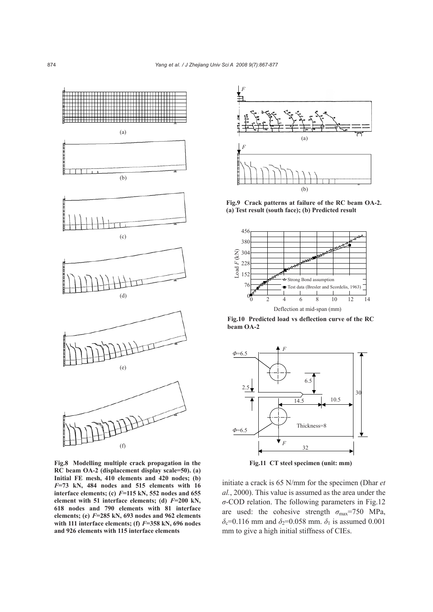

**Fig.8 Modelling multiple crack propagation in the RC beam OA-2 (displacement display scale=50). (a) Initial FE mesh, 410 elements and 420 nodes; (b)** *F***=73 kN, 484 nodes and 515 elements with 16 interface elements; (c)** *F***=115 kN, 552 nodes and 655 element with 51 interface elements; (d)** *F***=200 kN, 618 nodes and 790 elements with 81 interface elements; (e)** *F***=285 kN, 693 nodes and 962 elements with 111 interface elements; (f)** *F***=358 kN, 696 nodes and 926 elements with 115 interface elements**



**Fig.9 Crack patterns at failure of the RC beam OA-2. (a) Test result (south face); (b) Predicted result** 



**Fig.10 Predicted load vs deflection curve of the RC beam OA-2** 



**Fig.11 CT steel specimen (unit: mm)**

initiate a crack is 65 N/mm for the specimen (Dhar *et al.*, 2000). This value is assumed as the area under the *σ*-COD relation. The following parameters in Fig.12 are used: the cohesive strength *σ*max=750 MPa,  $δ<sub>c</sub>=0.116$  mm and  $δ<sub>2</sub>=0.058$  mm.  $δ<sub>1</sub>$  is assumed 0.001 mm to give a high initial stiffness of CIEs.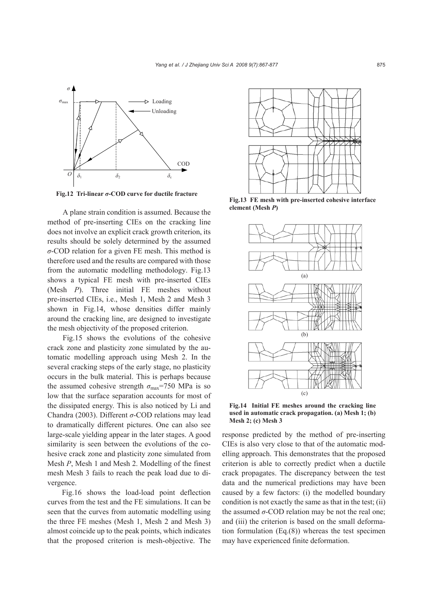

**Fig.12 Tri-linear** *σ***-COD curve for ductile fracture**

A plane strain condition is assumed. Because the method of pre-inserting CIEs on the cracking line does not involve an explicit crack growth criterion, its results should be solely determined by the assumed *σ*-COD relation for a given FE mesh. This method is therefore used and the results are compared with those from the automatic modelling methodology. Fig.13 shows a typical FE mesh with pre-inserted CIEs (Mesh *P*). Three initial FE meshes without pre-inserted CIEs, i.e., Mesh 1, Mesh 2 and Mesh 3 shown in Fig.14, whose densities differ mainly around the cracking line, are designed to investigate the mesh objectivity of the proposed criterion.

Fig.15 shows the evolutions of the cohesive crack zone and plasticity zone simulated by the automatic modelling approach using Mesh 2. In the several cracking steps of the early stage, no plasticity occurs in the bulk material. This is perhaps because the assumed cohesive strength  $\sigma_{\text{max}}$ =750 MPa is so low that the surface separation accounts for most of the dissipated energy. This is also noticed by Li and Chandra (2003). Different *σ*-COD relations may lead to dramatically different pictures. One can also see large-scale yielding appear in the later stages. A good similarity is seen between the evolutions of the cohesive crack zone and plasticity zone simulated from Mesh *P*, Mesh 1 and Mesh 2. Modelling of the finest mesh Mesh 3 fails to reach the peak load due to divergence.

Fig.16 shows the load-load point deflection curves from the test and the FE simulations. It can be seen that the curves from automatic modelling using the three FE meshes (Mesh 1, Mesh 2 and Mesh 3) almost coincide up to the peak points, which indicates that the proposed criterion is mesh-objective. The



**Fig.13 FE mesh with pre-inserted cohesive interface element (Mesh** *P***)**



**Fig.14 Initial FE meshes around the cracking line used in automatic crack propagation. (a) Mesh 1; (b) Mesh 2; (c) Mesh 3**

response predicted by the method of pre-inserting CIEs is also very close to that of the automatic modelling approach. This demonstrates that the proposed criterion is able to correctly predict when a ductile crack propagates. The discrepancy between the test data and the numerical predictions may have been caused by a few factors: (i) the modelled boundary condition is not exactly the same as that in the test; (ii) the assumed  $\sigma$ -COD relation may be not the real one; and (iii) the criterion is based on the small deformation formulation (Eq.(8)) whereas the test specimen may have experienced finite deformation.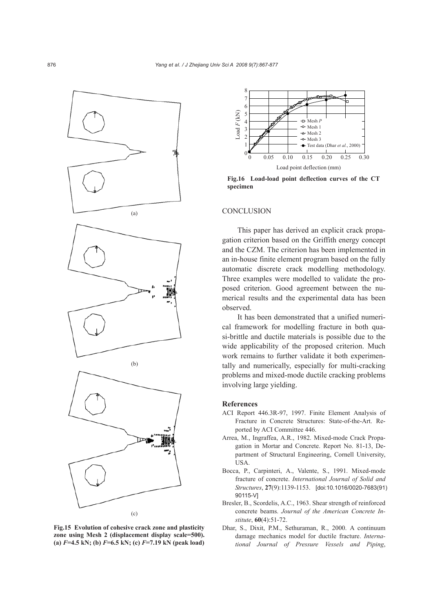





**Fig.16 Load-load point deflection curves of the CT specimen**

## **CONCLUSION**

This paper has derived an explicit crack propagation criterion based on the Griffith energy concept and the CZM. The criterion has been implemented in an in-house finite element program based on the fully automatic discrete crack modelling methodology. Three examples were modelled to validate the proposed criterion. Good agreement between the numerical results and the experimental data has been observed.

It has been demonstrated that a unified numerical framework for modelling fracture in both quasi-brittle and ductile materials is possible due to the wide applicability of the proposed criterion. Much work remains to further validate it both experimentally and numerically, especially for multi-cracking problems and mixed-mode ductile cracking problems involving large yielding.

#### **References**

- ACI Report 446.3R-97, 1997. Finite Element Analysis of Fracture in Concrete Structures: State-of-the-Art. Reported by ACI Committee 446.
- Arrea, M., Ingraffea, A.R., 1982. Mixed-mode Crack Propagation in Mortar and Concrete. Report No. 81-13, Department of Structural Engineering, Cornell University, USA.
- Bocca, P., Carpinteri, A., Valente, S., 1991. Mixed-mode fracture of concrete. *International Journal of Solid and Structures*, **27**(9):1139-1153. [doi:10.1016/0020-7683(91) 90115-V]
- Bresler, B., Scordelis, A.C., 1963. Shear strength of reinforced concrete beams. *Journal of the American Concrete Institute*, **60**(4):51-72.
- Dhar, S., Dixit, P.M., Sethuraman, R., 2000. A continuum damage mechanics model for ductile fracture. *International Journal of Pressure Vessels and Piping*,